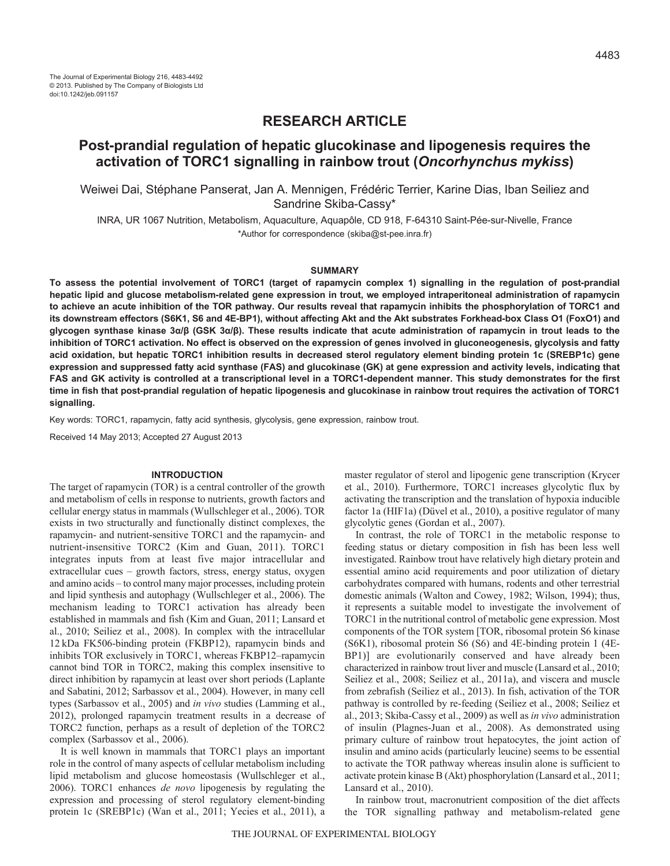# **RESEARCH ARTICLE**

# **Post-prandial regulation of hepatic glucokinase and lipogenesis requires the activation of TORC1 signalling in rainbow trout (***Oncorhynchus mykiss***)**

Weiwei Dai, Stéphane Panserat, Jan A. Mennigen, Frédéric Terrier, Karine Dias, Iban Seiliez and Sandrine Skiba-Cassy\*

INRA, UR 1067 Nutrition, Metabolism, Aquaculture, Aquapôle, CD 918, F-64310 Saint-Pée-sur-Nivelle, France \*Author for correspondence (skiba@st-pee.inra.fr)

#### **SUMMARY**

**To assess the potential involvement of TORC1 (target of rapamycin complex 1) signalling in the regulation of post-prandial hepatic lipid and glucose metabolism-related gene expression in trout, we employed intraperitoneal administration of rapamycin to achieve an acute inhibition of the TOR pathway. Our results reveal that rapamycin inhibits the phosphorylation of TORC1 and its downstream effectors (S6K1, S6 and 4E-BP1), without affecting Akt and the Akt substrates Forkhead-box Class O1 (FoxO1) and glycogen synthase kinase 3α/β (GSK 3α/β). These results indicate that acute administration of rapamycin in trout leads to the inhibition of TORC1 activation. No effect is observed on the expression of genes involved in gluconeogenesis, glycolysis and fatty acid oxidation, but hepatic TORC1 inhibition results in decreased sterol regulatory element binding protein 1c (SREBP1c) gene expression and suppressed fatty acid synthase (FAS) and glucokinase (GK) at gene expression and activity levels, indicating that FAS and GK activity is controlled at a transcriptional level in a TORC1-dependent manner. This study demonstrates for the first time in fish that post-prandial regulation of hepatic lipogenesis and glucokinase in rainbow trout requires the activation of TORC1 signalling.**

Key words: TORC1, rapamycin, fatty acid synthesis, glycolysis, gene expression, rainbow trout.

Received 14 May 2013; Accepted 27 August 2013

### **INTRODUCTION**

The target of rapamycin (TOR) is a central controller of the growth and metabolism of cells in response to nutrients, growth factors and cellular energy status in mammals (Wullschleger et al., 2006). TOR exists in two structurally and functionally distinct complexes, the rapamycin- and nutrient-sensitive TORC1 and the rapamycin- and nutrient-insensitive TORC2 (Kim and Guan, 2011). TORC1 integrates inputs from at least five major intracellular and extracellular cues – growth factors, stress, energy status, oxygen and amino acids – to control many major processes, including protein and lipid synthesis and autophagy (Wullschleger et al., 2006). The mechanism leading to TORC1 activation has already been established in mammals and fish (Kim and Guan, 2011; Lansard et al., 2010; Seiliez et al., 2008). In complex with the intracellular 12 kDa FK506-binding protein (FKBP12), rapamycin binds and inhibits TOR exclusively in TORC1, whereas FKBP12–rapamycin cannot bind TOR in TORC2, making this complex insensitive to direct inhibition by rapamycin at least over short periods (Laplante and Sabatini, 2012; Sarbassov et al., 2004). However, in many cell types (Sarbassov et al., 2005) and *in vivo* studies (Lamming et al., 2012), prolonged rapamycin treatment results in a decrease of TORC2 function, perhaps as a result of depletion of the TORC2 complex (Sarbassov et al., 2006).

It is well known in mammals that TORC1 plays an important role in the control of many aspects of cellular metabolism including lipid metabolism and glucose homeostasis (Wullschleger et al., 2006). TORC1 enhances *de novo* lipogenesis by regulating the expression and processing of sterol regulatory element-binding protein 1c (SREBP1c) (Wan et al., 2011; Yecies et al., 2011), a master regulator of sterol and lipogenic gene transcription (Krycer et al., 2010). Furthermore, TORC1 increases glycolytic flux by activating the transcription and the translation of hypoxia inducible factor 1a (HIF1a) (Düvel et al., 2010), a positive regulator of many glycolytic genes (Gordan et al., 2007).

In contrast, the role of TORC1 in the metabolic response to feeding status or dietary composition in fish has been less well investigated. Rainbow trout have relatively high dietary protein and essential amino acid requirements and poor utilization of dietary carbohydrates compared with humans, rodents and other terrestrial domestic animals (Walton and Cowey, 1982; Wilson, 1994); thus, it represents a suitable model to investigate the involvement of TORC1 in the nutritional control of metabolic gene expression. Most components of the TOR system [TOR, ribosomal protein S6 kinase (S6K1), ribosomal protein S6 (S6) and 4E-binding protein 1 (4E-BP1)] are evolutionarily conserved and have already been characterized in rainbow trout liver and muscle (Lansard et al., 2010; Seiliez et al., 2008; Seiliez et al., 2011a), and viscera and muscle from zebrafish (Seiliez et al., 2013). In fish, activation of the TOR pathway is controlled by re-feeding (Seiliez et al., 2008; Seiliez et al., 2013; Skiba-Cassy et al., 2009) as well as *in vivo* administration of insulin (Plagnes-Juan et al., 2008). As demonstrated using primary culture of rainbow trout hepatocytes, the joint action of insulin and amino acids (particularly leucine) seems to be essential to activate the TOR pathway whereas insulin alone is sufficient to activate protein kinase B (Akt) phosphorylation (Lansard et al., 2011; Lansard et al., 2010).

In rainbow trout, macronutrient composition of the diet affects the TOR signalling pathway and metabolism-related gene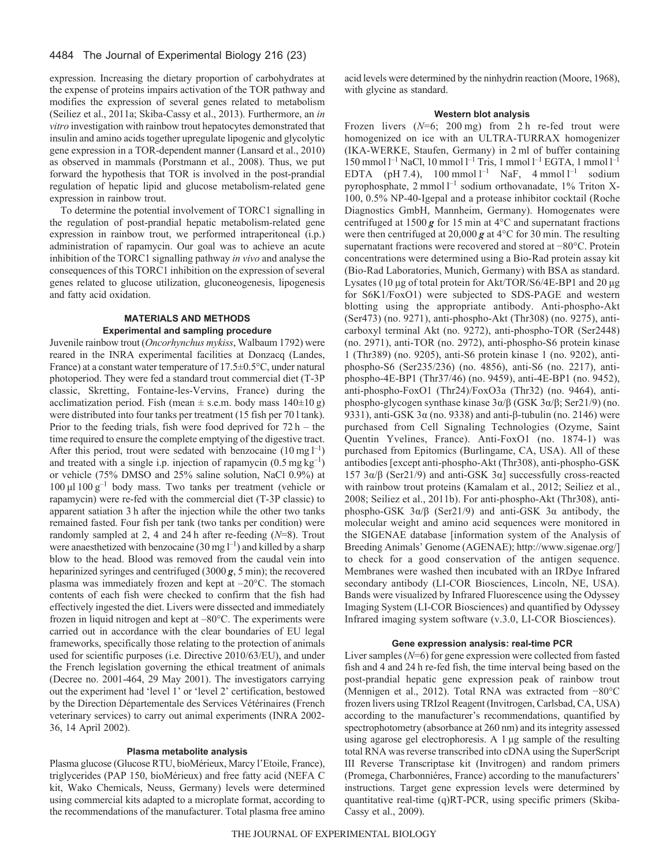### 4484 The Journal of Experimental Biology 216 (23)

expression. Increasing the dietary proportion of carbohydrates at the expense of proteins impairs activation of the TOR pathway and modifies the expression of several genes related to metabolism (Seiliez et al., 2011a; Skiba-Cassy et al., 2013). Furthermore, an *in vitro* investigation with rainbow trout hepatocytes demonstrated that insulin and amino acids together upregulate lipogenic and glycolytic gene expression in a TOR-dependent manner (Lansard et al., 2010) as observed in mammals (Porstmann et al., 2008). Thus, we put forward the hypothesis that TOR is involved in the post-prandial regulation of hepatic lipid and glucose metabolism-related gene expression in rainbow trout.

To determine the potential involvement of TORC1 signalling in the regulation of post-prandial hepatic metabolism-related gene expression in rainbow trout, we performed intraperitoneal (i.p.) administration of rapamycin. Our goal was to achieve an acute inhibition of the TORC1 signalling pathway *in vivo* and analyse the consequences of this TORC1 inhibition on the expression of several genes related to glucose utilization, gluconeogenesis, lipogenesis and fatty acid oxidation.

### **MATERIALS AND METHODS Experimental and sampling procedure**

Juvenile rainbow trout (*Oncorhynchus mykiss*, Walbaum 1792) were reared in the INRA experimental facilities at Donzacq (Landes, France) at a constant water temperature of 17.5±0.5°C, under natural photoperiod. They were fed a standard trout commercial diet (T-3P classic, Skretting, Fontaine-les-Vervins, France) during the acclimatization period. Fish (mean  $\pm$  s.e.m. body mass 140 $\pm$ 10 g) were distributed into four tanks per treatment (15 fish per 70 l tank). Prior to the feeding trials, fish were food deprived for  $72 h - the$ time required to ensure the complete emptying of the digestive tract. After this period, trout were sedated with benzocaine  $(10 \text{ mg l}^{-1})$ and treated with a single i.p. injection of rapamycin  $(0.5 \text{ mg kg}^{-1})$ or vehicle (75% DMSO and 25% saline solution, NaCl 0.9%) at 100 μl 100 $g^{-1}$  body mass. Two tanks per treatment (vehicle or rapamycin) were re-fed with the commercial diet (T-3P classic) to apparent satiation 3 h after the injection while the other two tanks remained fasted. Four fish per tank (two tanks per condition) were randomly sampled at 2, 4 and 24 h after re-feeding (*N*=8). Trout were anaesthetized with benzocaine  $(30 \text{ mg l}^{-1})$  and killed by a sharp blow to the head. Blood was removed from the caudal vein into heparinized syringes and centrifuged (3000 *g*, 5 min); the recovered plasma was immediately frozen and kept at –20°C. The stomach contents of each fish were checked to confirm that the fish had effectively ingested the diet. Livers were dissected and immediately frozen in liquid nitrogen and kept at –80°C. The experiments were carried out in accordance with the clear boundaries of EU legal frameworks, specifically those relating to the protection of animals used for scientific purposes (i.e. Directive 2010/63/EU), and under the French legislation governing the ethical treatment of animals (Decree no. 2001-464, 29 May 2001). The investigators carrying out the experiment had 'level 1' or 'level 2' certification, bestowed by the Direction Départementale des Services Vétérinaires (French veterinary services) to carry out animal experiments (INRA 2002- 36, 14 April 2002).

## **Plasma metabolite analysis**

Plasma glucose (Glucose RTU, bioMérieux, Marcy l'Etoile, France), triglycerides (PAP 150, bioMérieux) and free fatty acid (NEFA C kit, Wako Chemicals, Neuss, Germany) levels were determined using commercial kits adapted to a microplate format, according to the recommendations of the manufacturer. Total plasma free amino acid levels were determined by the ninhydrin reaction (Moore, 1968), with glycine as standard.

### **Western blot analysis**

Frozen livers ( $N=6$ ; 200 mg) from 2 h re-fed trout were homogenized on ice with an ULTRA-TURRAX homogenizer (IKA-WERKE, Staufen, Germany) in 2 ml of buffer containing 150 mmol  $l^{-1}$  NaCl, 10 mmol  $l^{-1}$  Tris, 1 mmol  $l^{-1}$  EGTA, 1 mmol  $l^{-1}$ EDTA (pH 7.4),  $100 \text{ mmol } l^{-1}$  NaF,  $4 \text{ mmol } l^{-1}$  sodium pyrophosphate,  $2 \text{ mmol } l^{-1}$  sodium orthovanadate, 1% Triton X-100, 0.5% NP-40-Igepal and a protease inhibitor cocktail (Roche Diagnostics GmbH, Mannheim, Germany). Homogenates were centrifuged at 1500 *g* for 15 min at 4°C and supernatant fractions were then centrifuged at 20,000 *g* at 4°C for 30 min. The resulting supernatant fractions were recovered and stored at −80°C. Protein concentrations were determined using a Bio-Rad protein assay kit (Bio-Rad Laboratories, Munich, Germany) with BSA as standard. Lysates (10 μg of total protein for Akt/TOR/S6/4E-BP1 and 20 μg for S6K1/FoxO1) were subjected to SDS-PAGE and western blotting using the appropriate antibody. Anti-phospho-Akt (Ser473) (no. 9271), anti-phospho-Akt (Thr308) (no. 9275), anticarboxyl terminal Akt (no. 9272), anti-phospho-TOR (Ser2448) (no. 2971), anti-TOR (no. 2972), anti-phospho-S6 protein kinase 1 (Thr389) (no. 9205), anti-S6 protein kinase 1 (no. 9202), antiphospho-S6 (Ser235/236) (no. 4856), anti-S6 (no. 2217), antiphospho-4E-BP1 (Thr37/46) (no. 9459), anti-4E-BP1 (no. 9452), anti-phospho-FoxO1 (Thr24)/FoxO3a (Thr32) (no. 9464), antiphospho-glycogen synthase kinase 3α/β (GSK 3α/β; Ser21/9) (no. 9331), anti-GSK 3α (no. 9338) and anti-β-tubulin (no. 2146) were purchased from Cell Signaling Technologies (Ozyme, Saint Quentin Yvelines, France). Anti-FoxO1 (no. 1874-1) was purchased from Epitomics (Burlingame, CA, USA). All of these antibodies [except anti-phospho-Akt (Thr308), anti-phospho-GSK 157  $3α/β$  (Ser21/9) and anti-GSK  $3α$ ] successfully cross-reacted with rainbow trout proteins (Kamalam et al., 2012; Seiliez et al., 2008; Seiliez et al., 2011b). For anti-phospho-Akt (Thr308), antiphospho-GSK 3α/β (Ser21/9) and anti-GSK 3α antibody, the molecular weight and amino acid sequences were monitored in the SIGENAE database [information system of the Analysis of Breeding Animals' Genome (AGENAE); http://www.sigenae.org/] to check for a good conservation of the antigen sequence. Membranes were washed then incubated with an IRDye Infrared secondary antibody (LI-COR Biosciences, Lincoln, NE, USA). Bands were visualized by Infrared Fluorescence using the Odyssey Imaging System (LI-COR Biosciences) and quantified by Odyssey Infrared imaging system software (v.3.0, LI-COR Biosciences).

### **Gene expression analysis: real-time PCR**

Liver samples (*N*=6) for gene expression were collected from fasted fish and 4 and 24 h re-fed fish, the time interval being based on the post-prandial hepatic gene expression peak of rainbow trout (Mennigen et al., 2012). Total RNA was extracted from −80°C frozen livers using TRIzol Reagent (Invitrogen, Carlsbad, CA, USA) according to the manufacturer's recommendations, quantified by spectrophotometry (absorbance at 260 nm) and its integrity assessed using agarose gel electrophoresis. A 1 μg sample of the resulting total RNA was reverse transcribed into cDNA using the SuperScript III Reverse Transcriptase kit (Invitrogen) and random primers (Promega, Charbonniéres, France) according to the manufacturers' instructions. Target gene expression levels were determined by quantitative real-time (q)RT-PCR, using specific primers (Skiba-Cassy et al., 2009).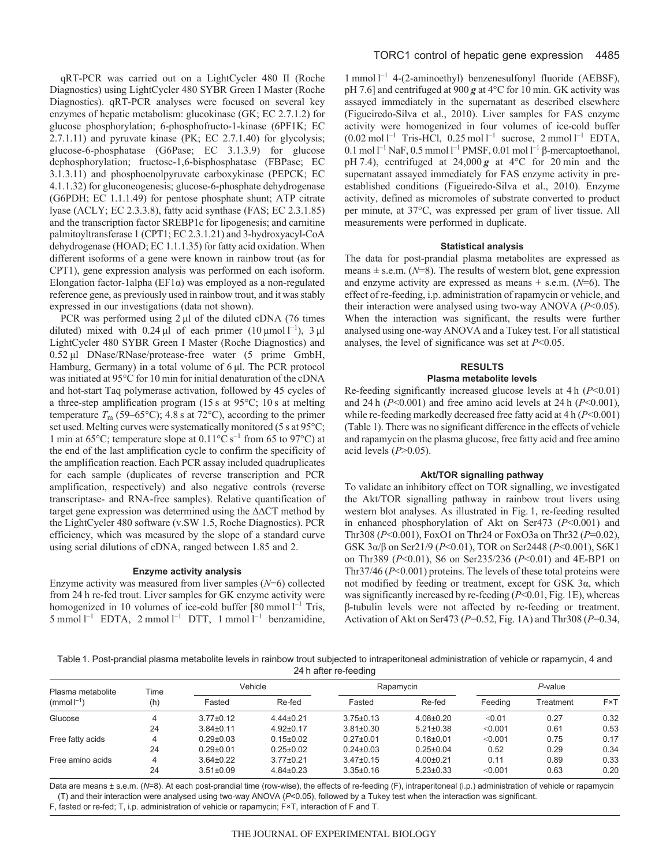qRT-PCR was carried out on a LightCycler 480 II (Roche Diagnostics) using LightCycler 480 SYBR Green I Master (Roche Diagnostics). qRT-PCR analyses were focused on several key enzymes of hepatic metabolism: glucokinase (GK; EC 2.7.1.2) for glucose phosphorylation; 6-phosphofructo-1-kinase (6PF1K; EC 2.7.1.11) and pyruvate kinase (PK; EC 2.7.1.40) for glycolysis; glucose-6-phosphatase (G6Pase; EC 3.1.3.9) for glucose dephosphorylation; fructose-1,6-bisphosphatase (FBPase; EC 3.1.3.11) and phosphoenolpyruvate carboxykinase (PEPCK; EC 4.1.1.32) for gluconeogenesis; glucose-6-phosphate dehydrogenase (G6PDH; EC 1.1.1.49) for pentose phosphate shunt; ATP citrate lyase (ACLY; EC 2.3.3.8), fatty acid synthase (FAS; EC 2.3.1.85) and the transcription factor SREBP1c for lipogenesis; and carnitine palmitoyltransferase 1 (CPT1; EC 2.3.1.21) and 3-hydroxyacyl-CoA dehydrogenase (HOAD; EC 1.1.1.35) for fatty acid oxidation. When different isoforms of a gene were known in rainbow trout (as for CPT1), gene expression analysis was performed on each isoform. Elongation factor-1alpha ( $EFA$ ) was employed as a non-regulated reference gene, as previously used in rainbow trout, and it was stably expressed in our investigations (data not shown).

PCR was performed using 2 μl of the diluted cDNA (76 times diluted) mixed with 0.24  $\mu$ l of each primer (10  $\mu$ mol l<sup>-1</sup>), 3  $\mu$ l LightCycler 480 SYBR Green I Master (Roche Diagnostics) and 0.52 μl DNase/RNase/protease-free water (5 prime GmbH, Hamburg, Germany) in a total volume of 6 μl. The PCR protocol was initiated at 95°C for 10 min for initial denaturation of the cDNA and hot-start Taq polymerase activation, followed by 45 cycles of a three-step amplification program (15 s at 95°C; 10 s at melting temperature  $T_m$  (59–65°C); 4.8 s at 72°C), according to the primer set used. Melting curves were systematically monitored (5 s at 95°C; 1 min at 65 $^{\circ}$ C; temperature slope at 0.11 $^{\circ}$ C s<sup>-1</sup> from 65 to 97 $^{\circ}$ C) at the end of the last amplification cycle to confirm the specificity of the amplification reaction. Each PCR assay included quadruplicates for each sample (duplicates of reverse transcription and PCR amplification, respectively) and also negative controls (reverse transcriptase- and RNA-free samples). Relative quantification of target gene expression was determined using the ∆∆CT method by the LightCycler 480 software (v.SW 1.5, Roche Diagnostics). PCR efficiency, which was measured by the slope of a standard curve using serial dilutions of cDNA, ranged between 1.85 and 2.

### **Enzyme activity analysis**

Enzyme activity was measured from liver samples (*N*=6) collected from 24 h re-fed trout. Liver samples for GK enzyme activity were homogenized in 10 volumes of ice-cold buffer  $[80 \text{ mmol } l^{-1}$  Tris, 5 mmol  $l^{-1}$  EDTA, 2 mmol  $l^{-1}$  DTT, 1 mmol  $l^{-1}$  benzamidine,

1 mmol l –1 4-(2-aminoethyl) benzenesulfonyl fluoride (AEBSF), pH 7.6] and centrifuged at 900 *g* at 4°C for 10 min. GK activity was assayed immediately in the supernatant as described elsewhere (Figueiredo-Silva et al., 2010). Liver samples for FAS enzyme activity were homogenized in four volumes of ice-cold buffer  $(0.02 \text{ mol } l^{-1}$  Tris-HCl, 0.25 mol  $l^{-1}$  sucrose, 2 mmol  $l^{-1}$  EDTA, 0.1 mol  $l^{-1}$  NaF, 0.5 mmol  $l^{-1}$  PMSF, 0.01 mol  $l^{-1}$  β-mercaptoethanol, pH 7.4), centrifuged at  $24,000 g$  at  $4^{\circ}$ C for 20 min and the supernatant assayed immediately for FAS enzyme activity in preestablished conditions (Figueiredo-Silva et al., 2010). Enzyme activity, defined as micromoles of substrate converted to product per minute, at 37°C, was expressed per gram of liver tissue. All measurements were performed in duplicate.

#### **Statistical analysis**

The data for post-prandial plasma metabolites are expressed as means  $\pm$  s.e.m. ( $N=8$ ). The results of western blot, gene expression and enzyme activity are expressed as means + s.e.m. (*N*=6). The effect of re-feeding, i.p. administration of rapamycin or vehicle, and their interaction were analysed using two-way ANOVA (*P*<0.05). When the interaction was significant, the results were further analysed using one-way ANOVA and a Tukey test. For all statistical analyses, the level of significance was set at *P*<0.05.

### **RESULTS**

### **Plasma metabolite levels**

Re-feeding significantly increased glucose levels at 4 h (*P*˂0.01) and 24 h (*P*˂0.001) and free amino acid levels at 24 h (*P*˂0.001), while re-feeding markedly decreased free fatty acid at 4 h (*P*˂0.001) (Table 1). There was no significant difference in the effects of vehicle and rapamycin on the plasma glucose, free fatty acid and free amino acid levels (*P*>0.05).

#### **Akt/TOR signalling pathway**

To validate an inhibitory effect on TOR signalling, we investigated the Akt/TOR signalling pathway in rainbow trout livers using western blot analyses. As illustrated in Fig. 1, re-feeding resulted in enhanced phosphorylation of Akt on Ser473 (*P*˂0.001) and Thr308 (*P*˂0.001), FoxO1 on Thr24 or FoxO3a on Thr32 (*P*=0.02), GSK 3α/β on Ser21/9 (*P*˂0.01), TOR on Ser2448 (*P*˂0.001), S6K1 on Thr389 (*P*˂0.01), S6 on Ser235/236 (*P*˂0.01) and 4E-BP1 on Thr37/46 (*P*˂0.001) proteins. The levels of these total proteins were not modified by feeding or treatment, except for GSK 3α, which was significantly increased by re-feeding (*P*˂0.01, Fig. 1E), whereas β-tubulin levels were not affected by re-feeding or treatment. Activation of Akt on Ser473 (*P*=0.52, Fig. 1A) and Thr308 (*P*=0.34,

Table 1. Post-prandial plasma metabolite levels in rainbow trout subjected to intraperitoneal administration of vehicle or rapamycin, 4 and 24 h after re-feeding

| Plasma metabolite<br>$(mmol-1)$ | Time<br>(h) | Vehicle         |                 | Rapamycin       |                 | $P$ -value |           |      |
|---------------------------------|-------------|-----------------|-----------------|-----------------|-----------------|------------|-----------|------|
|                                 |             | Fasted          | Re-fed          | Fasted          | Re-fed          | Feeding    | Treatment | F×T  |
| Glucose                         | 4           | $3.77 \pm 0.12$ | $4.44\pm0.21$   | $3.75 \pm 0.13$ | $4.08 + 0.20$   | < 0.01     | 0.27      | 0.32 |
|                                 | 24          | $3.84 \pm 0.11$ | $4.92 \pm 0.17$ | $3.81 \pm 0.30$ | $5.21 \pm 0.38$ | < 0.001    | 0.61      | 0.53 |
| Free fatty acids                | 4           | $0.29 \pm 0.03$ | $0.15 \pm 0.02$ | $0.27 \pm 0.01$ | $0.18 + 0.01$   | < 0.001    | 0.75      | 0.17 |
|                                 | 24          | $0.29 + 0.01$   | $0.25 \pm 0.02$ | $0.24 \pm 0.03$ | $0.25 \pm 0.04$ | 0.52       | 0.29      | 0.34 |
| Free amino acids                | $\Delta$    | $3.64 \pm 0.22$ | $3.77 \pm 0.21$ | $3.47 \pm 0.15$ | $4.00+0.21$     | 0.11       | 0.89      | 0.33 |
|                                 | 24          | $3.51 \pm 0.09$ | $4.84 \pm 0.23$ | $3.35 \pm 0.16$ | $5.23 \pm 0.33$ | < 0.001    | 0.63      | 0.20 |

Data are means ± s.e.m. (N=8). At each post-prandial time (row-wise), the effects of re-feeding (F), intraperitoneal (i.p.) administration of vehicle or rapamycin (T) and their interaction were analysed using two-way ANOVA (*P*<0.05), followed by a Tukey test when the interaction was significant.

F, fasted or re-fed; T, i.p. administration of vehicle or rapamycin; F×T, interaction of F and T.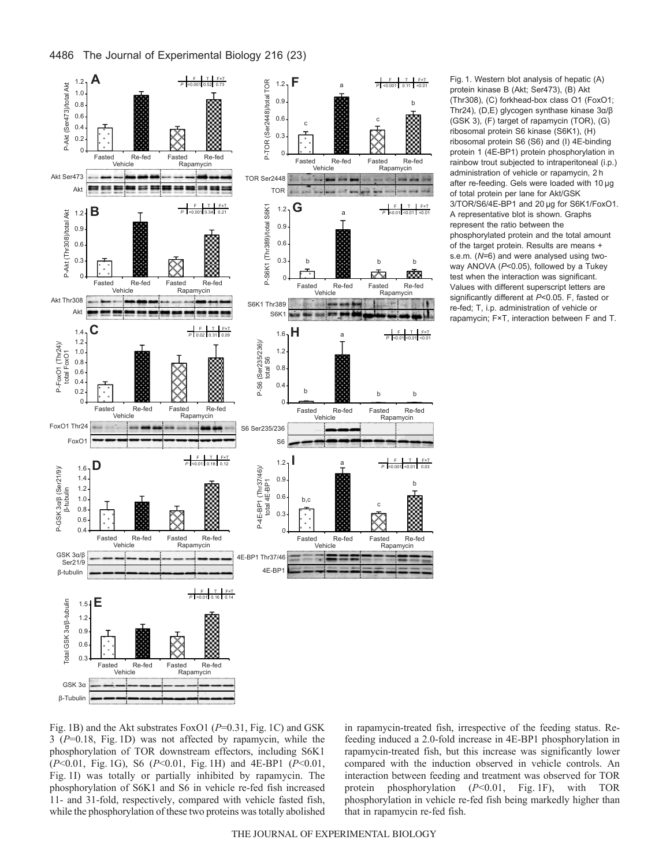

Fig. 1. Western blot analysis of hepatic (A) protein kinase B (Akt; Ser473), (B) Akt (Thr308), (C) forkhead-box class O1 (FoxO1; Thr24), (D,E) glycogen synthase kinase 3α/β (GSK 3), (F) target of rapamycin (TOR), (G) ribosomal protein S6 kinase (S6K1), (H) ribosomal protein S6 (S6) and (I) 4E-binding protein 1 (4E-BP1) protein phosphorylation in rainbow trout subjected to intraperitoneal (i.p.) administration of vehicle or rapamycin, 2 h after re-feeding. Gels were loaded with 10 μg of total protein per lane for Akt/GSK 3/TOR/S6/4E-BP1 and 20 μg for S6K1/FoxO1. A representative blot is shown. Graphs represent the ratio between the phosphorylated protein and the total amount of the target protein. Results are means + s.e.m. (*N*=6) and were analysed using twoway ANOVA (*P*<0.05), followed by a Tukey test when the interaction was significant. Values with different superscript letters are significantly different at *P*<0.05. F, fasted or re-fed; T, i.p. administration of vehicle or rapamycin; F×T, interaction between F and T.

Fig. 1B) and the Akt substrates FoxO1 (*P*=0.31, Fig. 1C) and GSK 3 (*P*=0.18, Fig. 1D) was not affected by rapamycin, while the phosphorylation of TOR downstream effectors, including S6K1 (*P*˂0.01, Fig. 1G), S6 (*P*˂0.01, Fig. 1H) and 4E-BP1 (*P*˂0.01, Fig. 1I) was totally or partially inhibited by rapamycin. The phosphorylation of S6K1 and S6 in vehicle re-fed fish increased 11- and 31-fold, respectively, compared with vehicle fasted fish, while the phosphorylation of these two proteins was totally abolished

in rapamycin-treated fish, irrespective of the feeding status. Refeeding induced a 2.0-fold increase in 4E-BP1 phosphorylation in rapamycin-treated fish, but this increase was significantly lower compared with the induction observed in vehicle controls. An interaction between feeding and treatment was observed for TOR protein phosphorylation (*P*˂0.01, Fig. 1F), with TOR phosphorylation in vehicle re-fed fish being markedly higher than that in rapamycin re-fed fish.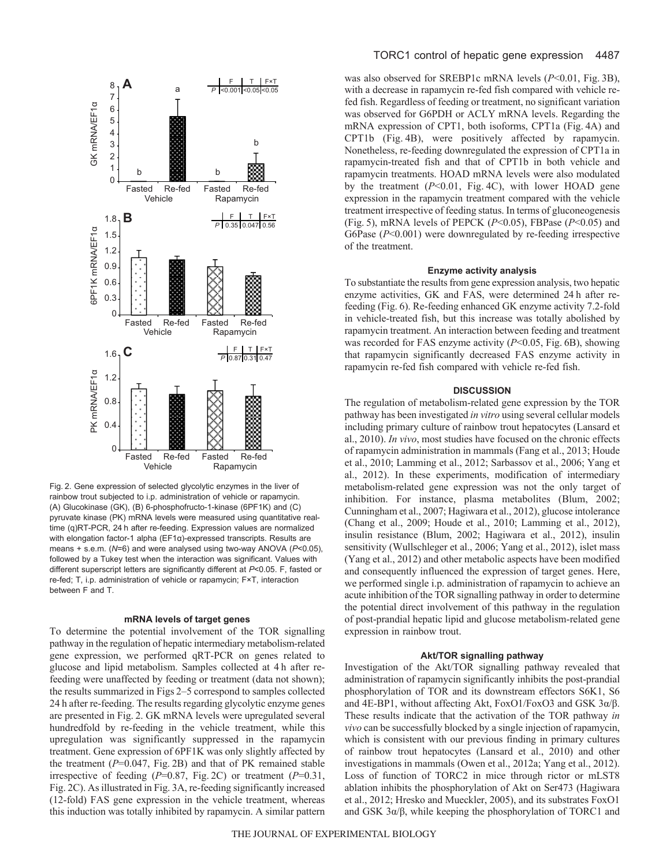

Fig. 2. Gene expression of selected glycolytic enzymes in the liver of rainbow trout subjected to i.p. administration of vehicle or rapamycin. (A) Glucokinase (GK), (B) 6-phosphofructo-1-kinase (6PF1K) and (C) pyruvate kinase (PK) mRNA levels were measured using quantitative realtime (q)RT-PCR, 24 h after re-feeding. Expression values are normalized with elongation factor-1 alpha (EF1α)-expressed transcripts. Results are means + s.e.m. (*N*=6) and were analysed using two-way ANOVA (*P*<0.05), followed by a Tukey test when the interaction was significant. Values with different superscript letters are significantly different at *P*<0.05. F, fasted or re-fed; T, i.p. administration of vehicle or rapamycin; F×T, interaction between F and T.

### **mRNA levels of target genes**

To determine the potential involvement of the TOR signalling pathway in the regulation of hepatic intermediary metabolism-related gene expression, we performed qRT-PCR on genes related to glucose and lipid metabolism. Samples collected at 4 h after refeeding were unaffected by feeding or treatment (data not shown); the results summarized in Figs 2–5 correspond to samples collected 24 h after re-feeding. The results regarding glycolytic enzyme genes are presented in Fig. 2. GK mRNA levels were upregulated several hundredfold by re-feeding in the vehicle treatment, while this upregulation was significantly suppressed in the rapamycin treatment. Gene expression of 6PF1K was only slightly affected by the treatment  $(P=0.047, Fig. 2B)$  and that of PK remained stable irrespective of feeding (*P*=0.87, Fig. 2C) or treatment (*P*=0.31, Fig. 2C). As illustrated in Fig. 3A, re-feeding significantly increased (12-fold) FAS gene expression in the vehicle treatment, whereas this induction was totally inhibited by rapamycin. A similar pattern

### TORC1 control of hepatic gene expression 4487

was also observed for SREBP1c mRNA levels (*P*˂0.01, Fig. 3B), with a decrease in rapamycin re-fed fish compared with vehicle refed fish. Regardless of feeding or treatment, no significant variation was observed for G6PDH or ACLY mRNA levels. Regarding the mRNA expression of CPT1, both isoforms, CPT1a (Fig. 4A) and CPT1b (Fig. 4B), were positively affected by rapamycin. Nonetheless, re-feeding downregulated the expression of CPT1a in rapamycin-treated fish and that of CPT1b in both vehicle and rapamycin treatments. HOAD mRNA levels were also modulated by the treatment (*P*˂0.01, Fig. 4C), with lower HOAD gene expression in the rapamycin treatment compared with the vehicle treatment irrespective of feeding status. In terms of gluconeogenesis (Fig. 5), mRNA levels of PEPCK (*P*˂0.05), FBPase (*P*˂0.05) and G6Pase (*P*˂0.001) were downregulated by re-feeding irrespective of the treatment.

### **Enzyme activity analysis**

To substantiate the results from gene expression analysis, two hepatic enzyme activities, GK and FAS, were determined 24 h after refeeding (Fig. 6). Re-feeding enhanced GK enzyme activity 7.2-fold in vehicle-treated fish, but this increase was totally abolished by rapamycin treatment. An interaction between feeding and treatment was recorded for FAS enzyme activity (*P*˂0.05, Fig. 6B), showing that rapamycin significantly decreased FAS enzyme activity in rapamycin re-fed fish compared with vehicle re-fed fish.

#### **DISCUSSION**

The regulation of metabolism-related gene expression by the TOR pathway has been investigated *in vitro* using several cellular models including primary culture of rainbow trout hepatocytes (Lansard et al., 2010). *In vivo*, most studies have focused on the chronic effects of rapamycin administration in mammals (Fang et al., 2013; Houde et al., 2010; Lamming et al., 2012; Sarbassov et al., 2006; Yang et al., 2012). In these experiments, modification of intermediary metabolism-related gene expression was not the only target of inhibition. For instance, plasma metabolites (Blum, 2002; Cunningham et al., 2007; Hagiwara et al., 2012), glucose intolerance (Chang et al., 2009; Houde et al., 2010; Lamming et al., 2012), insulin resistance (Blum, 2002; Hagiwara et al., 2012), insulin sensitivity (Wullschleger et al., 2006; Yang et al., 2012), islet mass (Yang et al., 2012) and other metabolic aspects have been modified and consequently influenced the expression of target genes. Here, we performed single i.p. administration of rapamycin to achieve an acute inhibition of the TOR signalling pathway in order to determine the potential direct involvement of this pathway in the regulation of post-prandial hepatic lipid and glucose metabolism-related gene expression in rainbow trout.

### **Akt/TOR signalling pathway**

Investigation of the Akt/TOR signalling pathway revealed that administration of rapamycin significantly inhibits the post-prandial phosphorylation of TOR and its downstream effectors S6K1, S6 and 4E-BP1, without affecting Akt, FoxO1/FoxO3 and GSK 3α/β. These results indicate that the activation of the TOR pathway *in vivo* can be successfully blocked by a single injection of rapamycin, which is consistent with our previous finding in primary cultures of rainbow trout hepatocytes (Lansard et al., 2010) and other investigations in mammals (Owen et al., 2012a; Yang et al., 2012). Loss of function of TORC2 in mice through rictor or mLST8 ablation inhibits the phosphorylation of Akt on Ser473 (Hagiwara et al., 2012; Hresko and Mueckler, 2005), and its substrates FoxO1 and GSK  $3\alpha/\beta$ , while keeping the phosphorylation of TORC1 and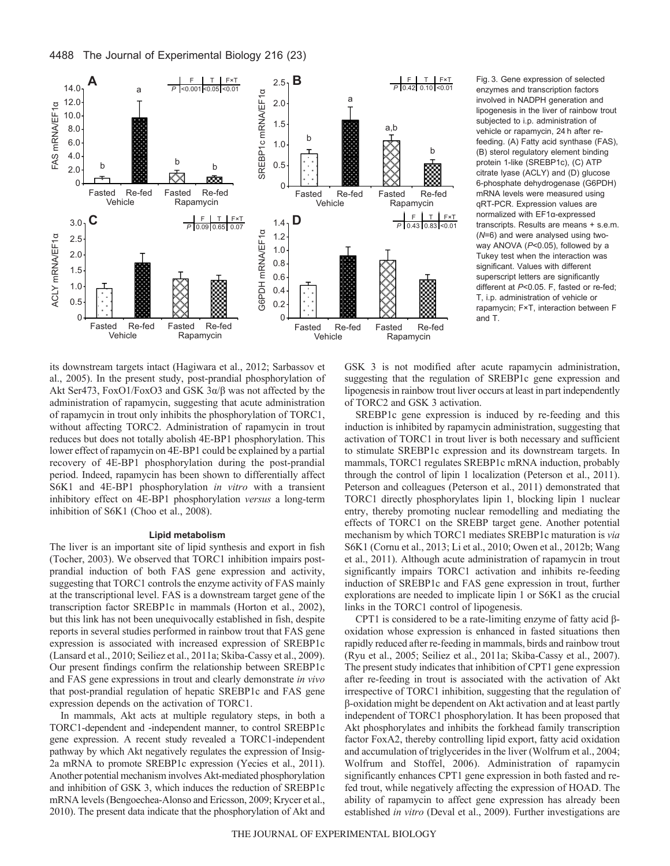

Fig. 3. Gene expression of selected enzymes and transcription factors involved in NADPH generation and lipogenesis in the liver of rainbow trout subjected to i.p. administration of vehicle or rapamycin, 24 h after refeeding. (A) Fatty acid synthase (FAS), (B) sterol regulatory element binding protein 1-like (SREBP1c), (C) ATP citrate lyase (ACLY) and (D) glucose 6-phosphate dehydrogenase (G6PDH) mRNA levels were measured using qRT-PCR. Expression values are normalized with EF1α-expressed transcripts. Results are means + s.e.m. (*N*=6) and were analysed using twoway ANOVA (*P*<0.05), followed by a Tukey test when the interaction was significant. Values with different superscript letters are significantly different at *P*<0.05. F, fasted or re-fed; T, i.p. administration of vehicle or rapamycin; F×T, interaction between F and T.

its downstream targets intact (Hagiwara et al., 2012; Sarbassov et al., 2005). In the present study, post-prandial phosphorylation of Akt Ser473, FoxO1/FoxO3 and GSK 3α/β was not affected by the administration of rapamycin, suggesting that acute administration of rapamycin in trout only inhibits the phosphorylation of TORC1, without affecting TORC2. Administration of rapamycin in trout reduces but does not totally abolish 4E-BP1 phosphorylation. This lower effect of rapamycin on 4E-BP1 could be explained by a partial recovery of 4E-BP1 phosphorylation during the post-prandial period. Indeed, rapamycin has been shown to differentially affect S6K1 and 4E-BP1 phosphorylation *in vitro* with a transient inhibitory effect on 4E-BP1 phosphorylation *versus* a long-term inhibition of S6K1 (Choo et al., 2008).

## **Lipid metabolism**

The liver is an important site of lipid synthesis and export in fish (Tocher, 2003). We observed that TORC1 inhibition impairs postprandial induction of both FAS gene expression and activity, suggesting that TORC1 controls the enzyme activity of FAS mainly at the transcriptional level. FAS is a downstream target gene of the transcription factor SREBP1c in mammals (Horton et al., 2002), but this link has not been unequivocally established in fish, despite reports in several studies performed in rainbow trout that FAS gene expression is associated with increased expression of SREBP1c (Lansard et al., 2010; Seiliez et al., 2011a; Skiba-Cassy et al., 2009). Our present findings confirm the relationship between SREBP1c and FAS gene expressions in trout and clearly demonstrate *in vivo* that post-prandial regulation of hepatic SREBP1c and FAS gene expression depends on the activation of TORC1.

In mammals, Akt acts at multiple regulatory steps, in both a TORC1-dependent and -independent manner, to control SREBP1c gene expression. A recent study revealed a TORC1-independent pathway by which Akt negatively regulates the expression of Insig-2a mRNA to promote SREBP1c expression (Yecies et al., 2011). Another potential mechanism involves Akt-mediated phosphorylation and inhibition of GSK 3, which induces the reduction of SREBP1c mRNA levels (Bengoechea-Alonso and Ericsson, 2009; Krycer et al., 2010). The present data indicate that the phosphorylation of Akt and GSK 3 is not modified after acute rapamycin administration, suggesting that the regulation of SREBP1c gene expression and lipogenesis in rainbow trout liver occurs at least in part independently of TORC2 and GSK 3 activation.

SREBP1c gene expression is induced by re-feeding and this induction is inhibited by rapamycin administration, suggesting that activation of TORC1 in trout liver is both necessary and sufficient to stimulate SREBP1c expression and its downstream targets. In mammals, TORC1 regulates SREBP1c mRNA induction, probably through the control of lipin 1 localization (Peterson et al., 2011). Peterson and colleagues (Peterson et al., 2011) demonstrated that TORC1 directly phosphorylates lipin 1, blocking lipin 1 nuclear entry, thereby promoting nuclear remodelling and mediating the effects of TORC1 on the SREBP target gene. Another potential mechanism by which TORC1 mediates SREBP1c maturation is *via* S6K1 (Cornu et al., 2013; Li et al., 2010; Owen et al., 2012b; Wang et al., 2011). Although acute administration of rapamycin in trout significantly impairs TORC1 activation and inhibits re-feeding induction of SREBP1c and FAS gene expression in trout, further explorations are needed to implicate lipin 1 or S6K1 as the crucial links in the TORC1 control of lipogenesis.

CPT1 is considered to be a rate-limiting enzyme of fatty acid βoxidation whose expression is enhanced in fasted situations then rapidly reduced after re-feeding in mammals, birds and rainbow trout (Ryu et al., 2005; Seiliez et al., 2011a; Skiba-Cassy et al., 2007). The present study indicates that inhibition of CPT1 gene expression after re-feeding in trout is associated with the activation of Akt irrespective of TORC1 inhibition, suggesting that the regulation of β-oxidation might be dependent on Akt activation and at least partly independent of TORC1 phosphorylation. It has been proposed that Akt phosphorylates and inhibits the forkhead family transcription factor FoxA2, thereby controlling lipid export, fatty acid oxidation and accumulation of triglycerides in the liver (Wolfrum et al., 2004; Wolfrum and Stoffel, 2006). Administration of rapamycin significantly enhances CPT1 gene expression in both fasted and refed trout, while negatively affecting the expression of HOAD. The ability of rapamycin to affect gene expression has already been established *in vitro* (Deval et al., 2009). Further investigations are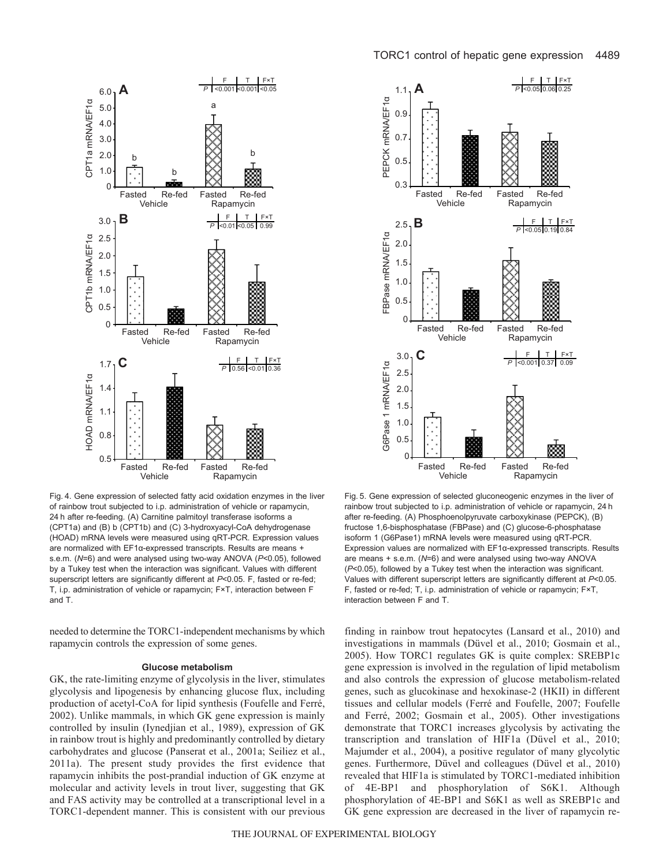

Fig. 4. Gene expression of selected fatty acid oxidation enzymes in the liver of rainbow trout subjected to i.p. administration of vehicle or rapamycin, 24 h after re-feeding. (A) Carnitine palmitoyl transferase isoforms a (CPT1a) and (B) b (CPT1b) and (C) 3-hydroxyacyl-CoA dehydrogenase (HOAD) mRNA levels were measured using qRT-PCR. Expression values are normalized with EF1α-expressed transcripts. Results are means + s.e.m. (*N*=6) and were analysed using two-way ANOVA (*P*<0.05), followed by a Tukey test when the interaction was significant. Values with different superscript letters are significantly different at *P*<0.05. F, fasted or re-fed; T, i.p. administration of vehicle or rapamycin; F×T, interaction between F and T.

needed to determine the TORC1-independent mechanisms by which rapamycin controls the expression of some genes.

#### **Glucose metabolism**

GK, the rate-limiting enzyme of glycolysis in the liver, stimulates glycolysis and lipogenesis by enhancing glucose flux, including production of acetyl-CoA for lipid synthesis (Foufelle and Ferré, 2002). Unlike mammals, in which GK gene expression is mainly controlled by insulin (Iynedjian et al., 1989), expression of GK in rainbow trout is highly and predominantly controlled by dietary carbohydrates and glucose (Panserat et al., 2001a; Seiliez et al., 2011a). The present study provides the first evidence that rapamycin inhibits the post-prandial induction of GK enzyme at molecular and activity levels in trout liver, suggesting that GK and FAS activity may be controlled at a transcriptional level in a TORC1-dependent manner. This is consistent with our previous



Fig. 5. Gene expression of selected gluconeogenic enzymes in the liver of rainbow trout subjected to i.p. administration of vehicle or rapamycin, 24 h after re-feeding. (A) Phosphoenolpyruvate carboxykinase (PEPCK), (B) fructose 1,6-bisphosphatase (FBPase) and (C) glucose-6-phosphatase isoform 1 (G6Pase1) mRNA levels were measured using qRT-PCR. Expression values are normalized with EF1α-expressed transcripts. Results are means + s.e.m. (*N*=6) and were analysed using two-way ANOVA (*P*<0.05), followed by a Tukey test when the interaction was significant. Values with different superscript letters are significantly different at *P*<0.05. F, fasted or re-fed; T, i.p. administration of vehicle or rapamycin; F×T, interaction between F and T.

finding in rainbow trout hepatocytes (Lansard et al., 2010) and investigations in mammals (Düvel et al., 2010; Gosmain et al., 2005). How TORC1 regulates GK is quite complex: SREBP1c gene expression is involved in the regulation of lipid metabolism and also controls the expression of glucose metabolism-related genes, such as glucokinase and hexokinase-2 (HKII) in different tissues and cellular models (Ferré and Foufelle, 2007; Foufelle and Ferré, 2002; Gosmain et al., 2005). Other investigations demonstrate that TORC1 increases glycolysis by activating the transcription and translation of HIF1a (Düvel et al., 2010; Majumder et al., 2004), a positive regulator of many glycolytic genes. Furthermore, Düvel and colleagues (Düvel et al., 2010) revealed that HIF1a is stimulated by TORC1-mediated inhibition of 4E-BP1 and phosphorylation of S6K1. Although phosphorylation of 4E-BP1 and S6K1 as well as SREBP1c and GK gene expression are decreased in the liver of rapamycin re-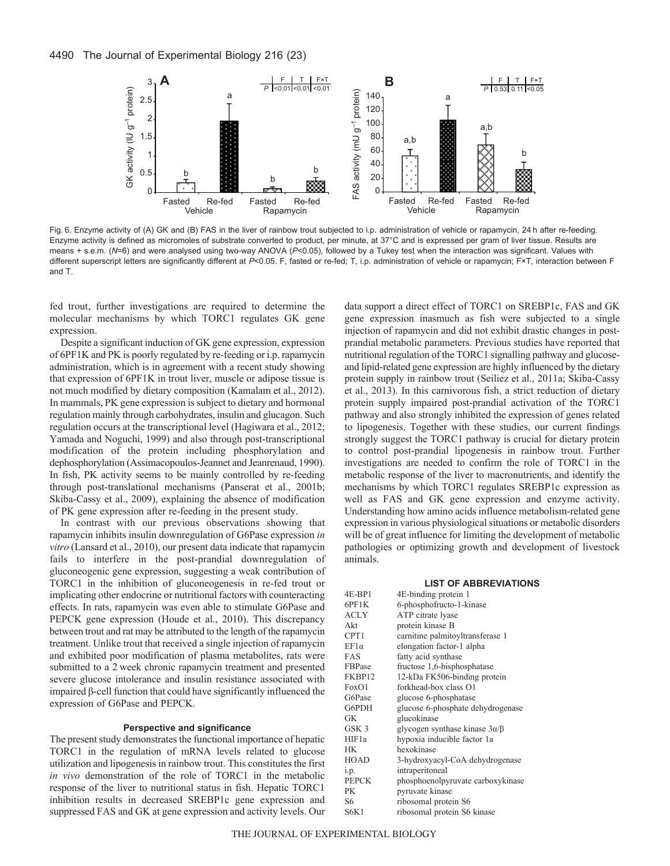

Fig. 6. Enzyme activity of (A) GK and (B) FAS in the liver of rainbow trout subjected to i.p. administration of vehicle or rapamycin, 24 h after re-feeding. Enzyme activity is defined as micromoles of substrate converted to product, per minute, at 37°C and is expressed per gram of liver tissue. Results are means + s.e.m. (*N*=6) and were analysed using two-way ANOVA (*P*<0.05), followed by a Tukey test when the interaction was significant. Values with different superscript letters are significantly different at P<0.05. F, fasted or re-fed; T, i.p. administration of vehicle or rapamycin; F×T, interaction between F and T.

fed trout, further investigations are required to determine the molecular mechanisms by which TORC1 regulates GK gene expression.

Despite a significant induction of GK gene expression, expression of 6PF1K and PK is poorly regulated by re-feeding or i.p. rapamycin administration, which is in agreement with a recent study showing that expression of 6PF1K in trout liver, muscle or adipose tissue is not much modified by dietary composition (Kamalam et al., 2012). In mammals, PK gene expression is subject to dietary and hormonal regulation mainly through carbohydrates, insulin and glucagon. Such regulation occurs at the transcriptional level (Hagiwara et al., 2012; Yamada and Noguchi, 1999) and also through post-transcriptional modification of the protein including phosphorylation and dephosphorylation (Assimacopoulos-Jeannet and Jeanrenaud, 1990). In fish, PK activity seems to be mainly controlled by re-feeding through post-translational mechanisms (Panserat et al., 2001b; Skiba-Cassy et al., 2009), explaining the absence of modification of PK gene expression after re-feeding in the present study.

In contrast with our previous observations showing that rapamycin inhibits insulin downregulation of G6Pase expression *in vitro* (Lansard et al., 2010), our present data indicate that rapamycin fails to interfere in the post-prandial downregulation of gluconeogenic gene expression, suggesting a weak contribution of TORC1 in the inhibition of gluconeogenesis in re-fed trout or implicating other endocrine or nutritional factors with counteracting effects. In rats, rapamycin was even able to stimulate G6Pase and PEPCK gene expression (Houde et al., 2010). This discrepancy between trout and rat may be attributed to the length of the rapamycin treatment. Unlike trout that received a single injection of rapamycin and exhibited poor modification of plasma metabolites, rats were submitted to a 2 week chronic rapamycin treatment and presented severe glucose intolerance and insulin resistance associated with impaired β-cell function that could have significantly influenced the expression of G6Pase and PEPCK.

### **Perspective and significance**

The present study demonstrates the functional importance of hepatic TORC1 in the regulation of mRNA levels related to glucose utilization and lipogenesis in rainbow trout. This constitutes the first *in vivo* demonstration of the role of TORC1 in the metabolic response of the liver to nutritional status in fish. Hepatic TORC1 inhibition results in decreased SREBP1c gene expression and suppressed FAS and GK at gene expression and activity levels. Our

data support a direct effect of TORC1 on SREBP1c, FAS and GK gene expression inasmuch as fish were subjected to a single injection of rapamycin and did not exhibit drastic changes in postprandial metabolic parameters. Previous studies have reported that nutritional regulation of the TORC1 signalling pathway and glucoseand lipid-related gene expression are highly influenced by the dietary protein supply in rainbow trout (Seiliez et al., 2011a; Skiba-Cassy et al., 2013). In this carnivorous fish, a strict reduction of dietary protein supply impaired post-prandial activation of the TORC1 pathway and also strongly inhibited the expression of genes related to lipogenesis. Together with these studies, our current findings strongly suggest the TORC1 pathway is crucial for dietary protein to control post-prandial lipogenesis in rainbow trout. Further investigations are needed to confirm the role of TORC1 in the metabolic response of the liver to macronutrients, and identify the mechanisms by which TORC1 regulates SREBP1c expression as well as FAS and GK gene expression and enzyme activity. Understanding how amino acids influence metabolism-related gene expression in various physiological situations or metabolic disorders will be of great influence for limiting the development of metabolic pathologies or optimizing growth and development of livestock animals.

#### **LIST OF ABBREVIATIONS**

| $4E-BP1$         | 4E-binding protein 1                     |
|------------------|------------------------------------------|
| 6PF1K            | 6-phosphofructo-1-kinase                 |
| <b>ACLY</b>      | ATP citrate lyase                        |
| Akt              | protein kinase B                         |
| CPT1             | carnitine palmitoyltransferase 1         |
| $EF1\alpha$      | elongation factor-1 alpha                |
| <b>FAS</b>       | fatty acid synthase                      |
| FBPase           | fructose 1,6-bisphosphatase              |
| FKBP12           | 12-kDa FK506-binding protein             |
| FoxO1            | forkhead-box class O1                    |
| G6Pase           | glucose 6-phosphatase                    |
| G6PDH            | glucose 6-phosphate dehydrogenase        |
| GK               | glucokinase                              |
| GSK <sub>3</sub> | glycogen synthase kinase $3\alpha/\beta$ |
| HIF1a            | hypoxia inducible factor 1a              |
| <b>HK</b>        | hexokinase                               |
| HOAD             | 3-hydroxyacyl-CoA dehydrogenase          |
| i.p.             | intraperitoneal                          |
| <b>PEPCK</b>     | phosphoenolpyruvate carboxykinase        |
| <b>PK</b>        | pyruvate kinase                          |
| S6               | ribosomal protein S6                     |
| S6K1             | ribosomal protein S6 kinase              |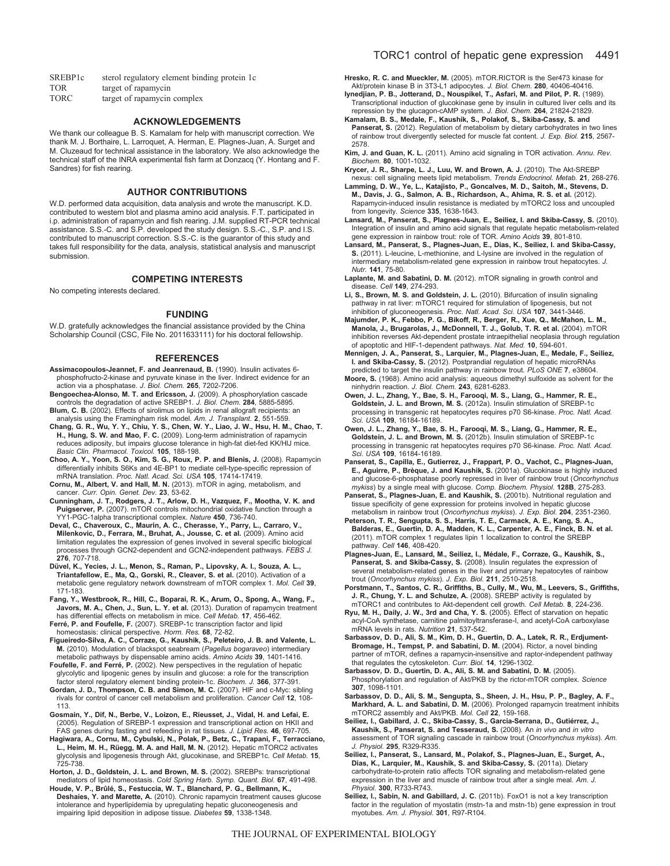| SREBP <sub>1</sub> c | sterol regulatory element binding protein 1c |
|----------------------|----------------------------------------------|
| <b>TOR</b>           | target of rapamycin                          |
| $T\cap D$            | $\cdots$ $\cdots$ $\cdots$                   |

TORC target of rapamycin complex

#### **ACKNOWLEDGEMENTS**

We thank our colleague B. S. Kamalam for help with manuscript correction. We thank M. J. Borthaire, L. Larroquet, A. Herman, E. Plagnes-Juan, A. Surget and M. Cluzeaud for technical assistance in the laboratory. We also acknowledge the technical staff of the INRA experimental fish farm at Donzacq (Y. Hontang and F. Sandres) for fish rearing.

#### **AUTHOR CONTRIBUTIONS**

W.D. performed data acquisition, data analysis and wrote the manuscript. K.D. contributed to western blot and plasma amino acid analysis. F.T. participated in i.p. administration of rapamycin and fish rearing. J.M. supplied RT-PCR technical assistance. S.S.-C. and S.P. developed the study design. S.S.-C., S.P. and I.S. contributed to manuscript correction. S.S.-C. is the guarantor of this study and takes full responsibility for the data, analysis, statistical analysis and manuscript submission.

#### **COMPETING INTERESTS**

No competing interests declared.

#### **FUNDING**

W.D. gratefully acknowledges the financial assistance provided by the China Scholarship Council (CSC, File No. 2011633111) for his doctoral fellowship.

#### **REFERENCES**

- **Assimacopoulos-Jeannet, F. and Jeanrenaud, B.** (1990). Insulin activates 6 phosphofructo-2-kinase and pyruvate kinase in the liver. Indirect evidence for an action via a phosphatase. *J. Biol. Chem.* **265**, 7202-7206.
- **Bengoechea-Alonso, M. T. and Ericsson, J.** (2009). A phosphorylation cascade controls the degradation of active SREBP1. *J. Biol. Chem.* **284**, 5885-5895. **Blum, C. B.** (2002). Effects of sirolimus on lipids in renal allograft recipients: an
- analysis using the Framingham risk model. *Am. J. Transplant.* **2**, 551-559. **Chang, G. R., Wu, Y. Y., Chiu, Y. S., Chen, W. Y., Liao, J. W., Hsu, H. M., Chao, T. H., Hung, S. W. and Mao, F. C.** (2009). Long-term administration of rapamycin reduces adiposity, but impairs glucose tolerance in high-fat diet-fed KK/HlJ mice.
- *Basic Clin. Pharmacol. Toxicol.* **105**, 188-198. **Choo, A. Y., Yoon, S. O., Kim, S. G., Roux, P. P. and Blenis, J.** (2008). Rapamycin differentially inhibits S6Ks and 4E-BP1 to mediate cell-type-specific repression of mRNA translation. *Proc. Natl. Acad. Sci. USA* **105**, 17414-17419.
- **Cornu, M., Albert, V. and Hall, M. N.** (2013). mTOR in aging, metabolism, and cancer. *Curr. Opin. Genet. Dev.* **23**, 53-62.
- **Cunningham, J. T., Rodgers, J. T., Arlow, D. H., Vazquez, F., Mootha, V. K. and Puigserver, P.** (2007). mTOR controls mitochondrial oxidative function through a YY1-PGC-1alpha transcriptional complex. *Nature* **450**, 736-740.
- **Deval, C., Chaveroux, C., Maurin, A. C., Cherasse, Y., Parry, L., Carraro, V., Milenkovic, D., Ferrara, M., Bruhat, A., Jousse, C. et al.** (2009). Amino acid limitation regulates the expression of genes involved in several specific biological processes through GCN2-dependent and GCN2-independent pathways. *FEBS J.* **276**, 707-718.
- **Düvel, K., Yecies, J. L., Menon, S., Raman, P., Lipovsky, A. I., Souza, A. L., Triantafellow, E., Ma, Q., Gorski, R., Cleaver, S. et al.** (2010). Activation of a metabolic gene regulatory network downstream of mTOR complex 1. *Mol. Cell* **39**, 171-183.
- **Fang, Y., Westbrook, R., Hill, C., Boparai, R. K., Arum, O., Spong, A., Wang, F., Javors, M. A., Chen, J., Sun, L. Y. et al.** (2013). Duration of rapamycin treatment has differential effects on metabolism in mice. *Cell Metab.* **17**, 456-462.
- **Ferré, P. and Foufelle, F.** (2007). SREBP-1c transcription factor and lipid homeostasis: clinical perspective. *Horm. Res.* **68**, 72-82.
- **Figueiredo-Silva, A. C., Corraze, G., Kaushik, S., Peleteiro, J. B. and Valente, L. M.** (2010). Modulation of blackspot seabream (*Pagellus bogaraveo*) intermediary
- metabolic pathways by dispensable amino acids. *Amino Acids* **39**, 1401-1416. **Foufelle, F. and Ferré, P.** (2002). New perspectives in the regulation of hepatic glycolytic and lipogenic genes by insulin and glucose: a role for the transcription factor sterol regulatory element binding protein-1c. *Biochem. J.* **366**, 377-391.
- **Gordan, J. D., Thompson, C. B. and Simon, M. C.** (2007). HIF and c-Myc: sibling rivals for control of cancer cell metabolism and proliferation. *Cancer Cell* **12**, 108- 113.
- **Gosmain, Y., Dif, N., Berbe, V., Loizon, E., Rieusset, J., Vidal, H. and Lefai, E.** (2005). Regulation of SREBP-1 expression and transcriptional action on HKII and FAS genes during fasting and refeeding in rat tissues. *J. Lipid Res.* **46**, 697-705.
- **Hagiwara, A., Cornu, M., Cybulski, N., Polak, P., Betz, C., Trapani, F., Terracciano, L., Heim, M. H., Rüegg, M. A. and Hall, M. N.** (2012). Hepatic mTORC2 activates glycolysis and lipogenesis through Akt, glucokinase, and SREBP1c. *Cell Metab.* **15**, 725-738.
- **Horton, J. D., Goldstein, J. L. and Brown, M. S.** (2002). SREBPs: transcriptional mediators of lipid homeostasis. *Cold Spring Harb. Symp. Quant. Biol.* **67**, 491-498. **Houde, V. P., Brûlé, S., Festuccia, W. T., Blanchard, P. G., Bellmann, K.,**
- **Deshaies, Y. and Marette, A.** (2010). Chronic rapamycin treatment causes glucose intolerance and hyperlipidemia by upregulating hepatic gluconeogenesis and impairing lipid deposition in adipose tissue. *Diabetes* **59**, 1338-1348.

**Hresko, R. C. and Mueckler, M.** (2005). mTOR.RICTOR is the Ser473 kinase for Akt/protein kinase B in 3T3-L1 adipocytes. *J. Biol. Chem.* **280**, 40406-40416.

- **Iynedjian, P. B., Jotterand, D., Nouspikel, T., Asfari, M. and Pilot, P. R.** (1989). Transcriptional induction of glucokinase gene by insulin in cultured liver cells and its
- repression by the glucagon-cAMP system. *J. Biol. Chem.* **264**, 21824-21829. **Kamalam, B. S., Medale, F., Kaushik, S., Polakof, S., Skiba-Cassy, S. and** Panserat, S. (2012). Regulation of metabolism by dietary carbohydrates in two lines of rainbow trout divergently selected for muscle fat content. *J. Exp. Biol.* **215**, 2567- 2578.
- **Kim, J. and Guan, K. L.** (2011). Amino acid signaling in TOR activation. *Annu. Rev. Biochem.* **80**, 1001-1032.
- **Krycer, J. R., Sharpe, L. J., Luu, W. and Brown, A. J.** (2010). The Akt-SREBP nexus: cell signaling meets lipid metabolism. *Trends Endocrinol. Metab.* **21**, 268-276.
- **Lamming, D. W., Ye, L., Katajisto, P., Goncalves, M. D., Saitoh, M., Stevens, D. M., Davis, J. G., Salmon, A. B., Richardson, A., Ahima, R. S. et al.** (2012). Rapamycin-induced insulin resistance is mediated by mTORC2 loss and uncoupled from longevity. *Science* **335**, 1638-1643.
- **Lansard, M., Panserat, S., Plagnes-Juan, E., Seiliez, I. and Skiba-Cassy, S.** (2010). Integration of insulin and amino acid signals that regulate hepatic metabolism-related gene expression in rainbow trout: role of TOR. *Amino Acids* **39**, 801-810.
- **Lansard, M., Panserat, S., Plagnes-Juan, E., Dias, K., Seiliez, I. and Skiba-Cassy, S.** (2011). L-leucine, L-methionine, and L-lysine are involved in the regulation of intermediary metabolism-related gene expression in rainbow trout hepatocytes. *J. Nutr.* **141**, 75-80.
- **Laplante, M. and Sabatini, D. M.** (2012). mTOR signaling in growth control and disease. *Cell* **149**, 274-293.
- **Li, S., Brown, M. S. and Goldstein, J. L.** (2010). Bifurcation of insulin signaling pathway in rat liver: mTORC1 required for stimulation of lipogenesis, but not inhibition of gluconeogenesis. *Proc. Natl. Acad. Sci. USA* **107**, 3441-3446.
- **Majumder, P. K., Febbo, P. G., Bikoff, R., Berger, R., Xue, Q., McMahon, L. M., Manola, J., Brugarolas, J., McDonnell, T. J., Golub, T. R. et al.** (2004). mTOR inhibition reverses Akt-dependent prostate intraepithelial neoplasia through regulation of apoptotic and HIF-1-dependent pathways. *Nat. Med.* **10**, 594-601.
- **Mennigen, J. A., Panserat, S., Larquier, M., Plagnes-Juan, E., Medale, F., Seiliez, I. and Skiba-Cassy, S.** (2012). Postprandial regulation of hepatic microRNAs predicted to target the insulin pathway in rainbow trout. *PLoS ONE* **7**, e38604.
- **Moore, S.** (1968). Amino acid analysis: aqueous dimethyl sulfoxide as solvent for the ninhydrin reaction. *J. Biol. Chem.* **243**, 6281-6283.
- **Owen, J. L., Zhang, Y., Bae, S. H., Farooqi, M. S., Liang, G., Hammer, R. E., Goldstein, J. L. and Brown, M. S.** (2012a). Insulin stimulation of SREBP-1c processing in transgenic rat hepatocytes requires p70 S6-kinase. *Proc. Natl. Acad. Sci. USA* **109**, 16184-16189.
- **Owen, J. L., Zhang, Y., Bae, S. H., Farooqi, M. S., Liang, G., Hammer, R. E., Goldstein, J. L. and Brown, M. S.** (2012b). Insulin stimulation of SREBP-1c processing in transgenic rat hepatocytes requires p70 S6-kinase. *Proc. Natl. Acad. Sci. USA* **109**, 16184-16189.
- **Panserat, S., Capilla, E., Gutierrez, J., Frappart, P. O., Vachot, C., Plagnes-Juan, E., Aguirre, P., Brèque, J. and Kaushik, S.** (2001a). Glucokinase is highly induced and glucose-6-phosphatase poorly repressed in liver of rainbow trout (*Oncorhynchus mykiss*) by a single meal with glucose. *Comp. Biochem. Physiol.* **128B**, 275-283.
- **Panserat, S., Plagnes-Juan, E. and Kaushik, S.** (2001b). Nutritional regulation and tissue specificity of gene expression for proteins involved in hepatic glucose metabolism in rainbow trout (*Oncorhynchus mykiss*). *J. Exp. Biol.* **204**, 2351-2360.
- **Peterson, T. R., Sengupta, S. S., Harris, T. E., Carmack, A. E., Kang, S. A., Balderas, E., Guertin, D. A., Madden, K. L., Carpenter, A. E., Finck, B. N. et al.** (2011). mTOR complex 1 regulates lipin 1 localization to control the SREBP pathway. *Cell* **146**, 408-420.
- **Plagnes-Juan, E., Lansard, M., Seiliez, I., Médale, F., Corraze, G., Kaushik, S., Panserat, S. and Skiba-Cassy, S.** (2008). Insulin regulates the expression of several metabolism-related genes in the liver and primary hepatocytes of rainbow trout (*Oncorhynchus mykiss*). *J. Exp. Biol.* **211**, 2510-2518.
- **Porstmann, T., Santos, C. R., Griffiths, B., Cully, M., Wu, M., Leevers, S., Griffiths, J. R., Chung, Y. L. and Schulze, A.** (2008). SREBP activity is regulated by mTORC1 and contributes to Akt-dependent cell growth. *Cell Metab.* **8**, 224-236.
- **Ryu, M. H., Daily, J. W., 3rd and Cha, Y. S.** (2005). Effect of starvation on hepatic acyl-CoA synthetase, carnitine palmitoyltransferase-I, and acetyl-CoA carboxylase mRNA levels in rats. *Nutrition* **21**, 537-542.
- **Sarbassov, D. D., Ali, S. M., Kim, D. H., Guertin, D. A., Latek, R. R., Erdjument-Bromage, H., Tempst, P. and Sabatini, D. M.** (2004). Rictor, a novel binding partner of mTOR, defines a rapamycin-insensitive and raptor-independent pathway that regulates the cytoskeleton. *Curr. Biol.* **14**, 1296-1302. **Sarbassov, D. D., Guertin, D. A., Ali, S. M. and Sabatini, D. M.** (2005).
- Phosphorylation and regulation of Akt/PKB by the rictor-mTOR complex. *Science* **307**, 1098-1101.
- **Sarbassov, D. D., Ali, S. M., Sengupta, S., Sheen, J. H., Hsu, P. P., Bagley, A. F., Markhard, A. L. and Sabatini, D. M.** (2006). Prolonged rapamycin treatment inhibits mTORC2 assembly and Akt/PKB. *Mol. Cell* **22**, 159-168.
- **Seiliez, I., Gabillard, J. C., Skiba-Cassy, S., Garcia-Serrana, D., Gutiérrez, J., Kaushik, S., Panserat, S. and Tesseraud, S.** (2008). An *in vivo* and *in vitro* assessment of TOR signaling cascade in rainbow trout (*Oncorhynchus mykiss*). *Am. J. Physiol.* **295**, R329-R335.
- **Seiliez, I., Panserat, S., Lansard, M., Polakof, S., Plagnes-Juan, E., Surget, A., Dias, K., Larquier, M., Kaushik, S. and Skiba-Cassy, S.** (2011a). Dietary carbohydrate-to-protein ratio affects TOR signaling and metabolism-related gene expression in the liver and muscle of rainbow trout after a single meal. *Am. J. Physiol.* **300**, R733-R743.
- **Seiliez, I., Sabin, N. and Gabillard, J. C.** (2011b). FoxO1 is not a key transcription factor in the regulation of myostatin (mstn-1a and mstn-1b) gene expression in trout myotubes. *Am. J. Physiol.* **301**, R97-R104.